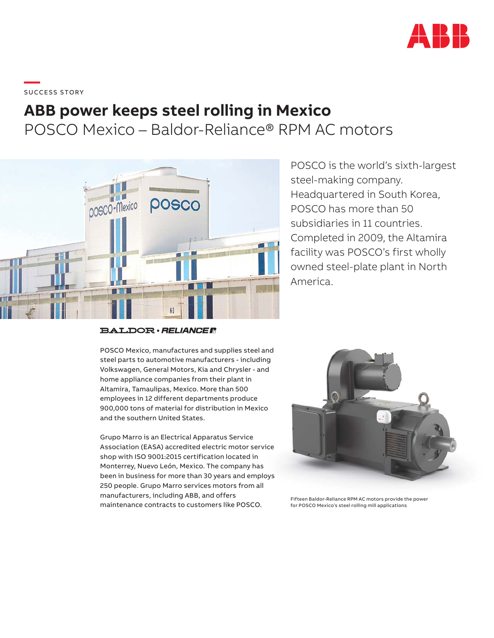

\_\_\_\_\_<br>SUCCESS STORY

## **ABB power keeps steel rolling in Mexico** POSCO Mexico – Baldor-Reliance® RPM AC motors



**BALDOR** · RELIANCE F

POSCO Mexico, manufactures and supplies steel and steel parts to automotive manufacturers - including Volkswagen, General Motors, Kia and Chrysler - and home appliance companies from their plant in Altamira, Tamaulipas, Mexico. More than 500 employees in 12 different departments produce 900,000 tons of material for distribution in Mexico and the southern United States.

Grupo Marro is an Electrical Apparatus Service Association (EASA) accredited electric motor service shop with ISO 9001:2015 certification located in Monterrey, Nuevo León, Mexico. The company has been in business for more than 30 years and employs 250 people. Grupo Marro services motors from all manufacturers, including ABB, and offers maintenance contracts to customers like POSCO.

POSCO is the world's sixth-largest steel-making company. Headquartered in South Korea, POSCO has more than 50 subsidiaries in 11 countries. Completed in 2009, the Altamira facility was POSCO's first wholly owned steel-plate plant in North America.



Fifteen Baldor-Reliance RPM AC motors provide the power for POSCO Mexico's steel rolling mill applications